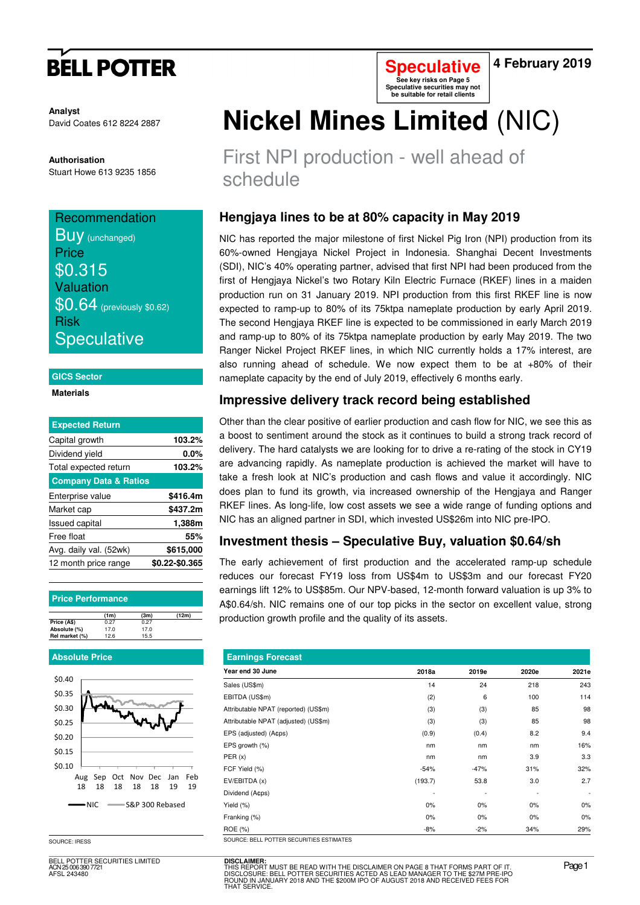# **BELL POTTER**

**Speculative See key risks on Page 5 Speculative securities may not be suitable for retail clients** 

**4 February 2019** 

**Analyst** David Coates 612 8224 2887

**Authorisation**  Stuart Howe 613 9235 1856

### **Recommendation**

**BUV** (unchanged) **Price** \$0.315 Valuation \$0.64 (previously \$0.62) Risk **Speculative** 

#### **GICS Sector**

#### **Materials**

| <b>Expected Return</b>           |                |
|----------------------------------|----------------|
| Capital growth                   | 103.2%         |
| Dividend yield                   | 0.0%           |
| Total expected return            | 103.2%         |
| <b>Company Data &amp; Ratios</b> |                |
| Enterprise value                 | \$416.4m       |
| Market cap                       | \$437.2m       |
| <b>Issued capital</b>            | 1,388m         |
| Free float                       | 55%            |
| Avg. daily val. (52wk)           | \$615,000      |
| 12 month price range             | \$0.22-\$0.365 |

#### **Price Performance**

|                | (1m) | (3m) | (12m) |
|----------------|------|------|-------|
| Price (A\$)    | 0.27 | 0.27 |       |
| Absolute (%)   | 17.0 | 17.0 |       |
| Rel market (%) | 12.6 | 15.5 |       |

#### **Absolute Price**



SOURCE: IRESS

BELL POTTER SECURITIES LIMITED ELL 1<br>N 25 006 390 772 AFSL 243480

# **Nickel Mines Limited** (NIC)

First NPI production - well ahead of schedule

## **Hengjaya lines to be at 80% capacity in May 2019**

NIC has reported the major milestone of first Nickel Pig Iron (NPI) production from its 60%-owned Hengjaya Nickel Project in Indonesia. Shanghai Decent Investments (SDI), NIC's 40% operating partner, advised that first NPI had been produced from the first of Hengjaya Nickel's two Rotary Kiln Electric Furnace (RKEF) lines in a maiden production run on 31 January 2019. NPI production from this first RKEF line is now expected to ramp-up to 80% of its 75ktpa nameplate production by early April 2019. The second Hengjaya RKEF line is expected to be commissioned in early March 2019 and ramp-up to 80% of its 75ktpa nameplate production by early May 2019. The two Ranger Nickel Project RKEF lines, in which NIC currently holds a 17% interest, are also running ahead of schedule. We now expect them to be at +80% of their nameplate capacity by the end of July 2019, effectively 6 months early.

## **Impressive delivery track record being established**

Other than the clear positive of earlier production and cash flow for NIC, we see this as a boost to sentiment around the stock as it continues to build a strong track record of delivery. The hard catalysts we are looking for to drive a re-rating of the stock in CY19 are advancing rapidly. As nameplate production is achieved the market will have to take a fresh look at NIC's production and cash flows and value it accordingly. NIC does plan to fund its growth, via increased ownership of the Hengjaya and Ranger RKEF lines. As long-life, low cost assets we see a wide range of funding options and NIC has an aligned partner in SDI, which invested US\$26m into NIC pre-IPO.

## **Investment thesis – Speculative Buy, valuation \$0.64/sh**

The early achievement of first production and the accelerated ramp-up schedule reduces our forecast FY19 loss from US\$4m to US\$3m and our forecast FY20 earnings lift 12% to US\$85m. Our NPV-based, 12-month forward valuation is up 3% to A\$0.64/sh. NIC remains one of our top picks in the sector on excellent value, strong production growth profile and the quality of its assets.

| <b>Earnings Forecast</b>                 |         |        |       |                          |
|------------------------------------------|---------|--------|-------|--------------------------|
| Year end 30 June                         | 2018a   | 2019e  | 2020e | 2021e                    |
| Sales (US\$m)                            | 14      | 24     | 218   | 243                      |
| EBITDA (US\$m)                           | (2)     | 6      | 100   | 114                      |
| Attributable NPAT (reported) (US\$m)     | (3)     | (3)    | 85    | 98                       |
| Attributable NPAT (adjusted) (US\$m)     | (3)     | (3)    | 85    | 98                       |
| EPS (adjusted) (A¢ps)                    | (0.9)   | (0.4)  | 8.2   | 9.4                      |
| EPS growth (%)                           | nm      | nm     | nm    | 16%                      |
| PER(x)                                   | nm      | nm     | 3.9   | 3.3                      |
| FCF Yield (%)                            | $-54%$  | $-47%$ | 31%   | 32%                      |
| EV/EBITDA (x)                            | (193.7) | 53.8   | 3.0   | 2.7                      |
| Dividend (Acps)                          |         |        |       | $\overline{\phantom{a}}$ |
| Yield (%)                                | $0\%$   | 0%     | 0%    | 0%                       |
| Franking (%)                             | 0%      | 0%     | $0\%$ | $0\%$                    |
| ROE (%)                                  | $-8%$   | $-2%$  | 34%   | 29%                      |
| SOURCE: BELL POTTER SECURITIES ESTIMATES |         |        |       |                          |

**DISCLAIMER:**<br>THIS REPORT MUST BE READ WITH THE DISCLAIMER ON PAGE 8 THAT FORMS PART OF IT.<br>DISCLOSURE: BELL POTTER SECURITIES ACTED AS LEAD MANAGER TO THE \$27M PRE-IPO<br>ROUND IN JANUARY 2018 AND THE \$200M IPO OF AUGUST 201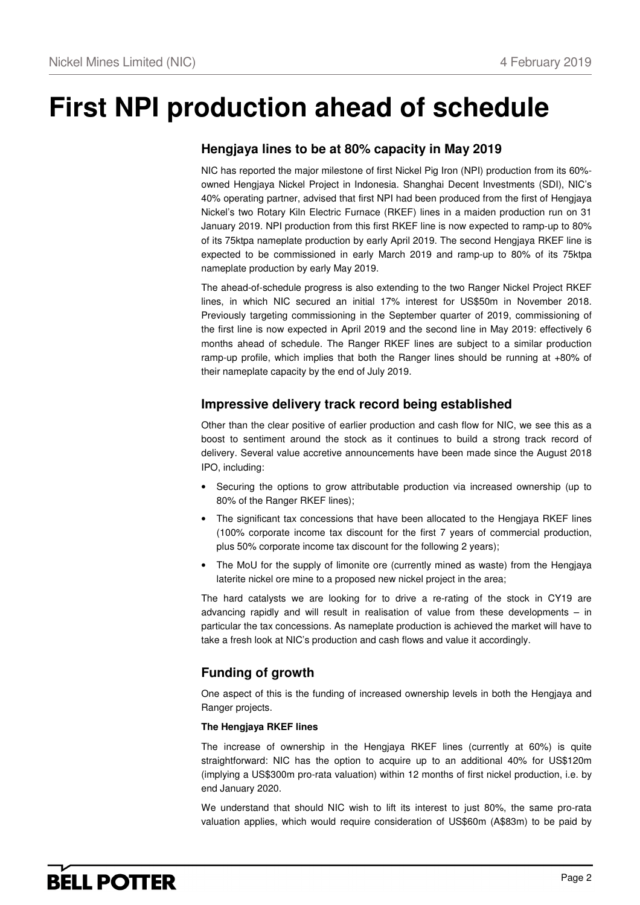# **First NPI production ahead of schedule**

## **Hengjaya lines to be at 80% capacity in May 2019**

NIC has reported the major milestone of first Nickel Pig Iron (NPI) production from its 60% owned Hengjaya Nickel Project in Indonesia. Shanghai Decent Investments (SDI), NIC's 40% operating partner, advised that first NPI had been produced from the first of Hengjaya Nickel's two Rotary Kiln Electric Furnace (RKEF) lines in a maiden production run on 31 January 2019. NPI production from this first RKEF line is now expected to ramp-up to 80% of its 75ktpa nameplate production by early April 2019. The second Hengjaya RKEF line is expected to be commissioned in early March 2019 and ramp-up to 80% of its 75ktpa nameplate production by early May 2019.

The ahead-of-schedule progress is also extending to the two Ranger Nickel Project RKEF lines, in which NIC secured an initial 17% interest for US\$50m in November 2018. Previously targeting commissioning in the September quarter of 2019, commissioning of the first line is now expected in April 2019 and the second line in May 2019: effectively 6 months ahead of schedule. The Ranger RKEF lines are subject to a similar production ramp-up profile, which implies that both the Ranger lines should be running at +80% of their nameplate capacity by the end of July 2019.

## **Impressive delivery track record being established**

Other than the clear positive of earlier production and cash flow for NIC, we see this as a boost to sentiment around the stock as it continues to build a strong track record of delivery. Several value accretive announcements have been made since the August 2018 IPO, including:

- Securing the options to grow attributable production via increased ownership (up to 80% of the Ranger RKEF lines);
- The significant tax concessions that have been allocated to the Hengjaya RKEF lines (100% corporate income tax discount for the first 7 years of commercial production, plus 50% corporate income tax discount for the following 2 years);
- The MoU for the supply of limonite ore (currently mined as waste) from the Hengjaya laterite nickel ore mine to a proposed new nickel project in the area;

The hard catalysts we are looking for to drive a re-rating of the stock in CY19 are advancing rapidly and will result in realisation of value from these developments – in particular the tax concessions. As nameplate production is achieved the market will have to take a fresh look at NIC's production and cash flows and value it accordingly.

## **Funding of growth**

One aspect of this is the funding of increased ownership levels in both the Hengjaya and Ranger projects.

### **The Hengjaya RKEF lines**

The increase of ownership in the Hengjaya RKEF lines (currently at 60%) is quite straightforward: NIC has the option to acquire up to an additional 40% for US\$120m (implying a US\$300m pro-rata valuation) within 12 months of first nickel production, i.e. by end January 2020.

We understand that should NIC wish to lift its interest to just 80%, the same pro-rata valuation applies, which would require consideration of US\$60m (A\$83m) to be paid by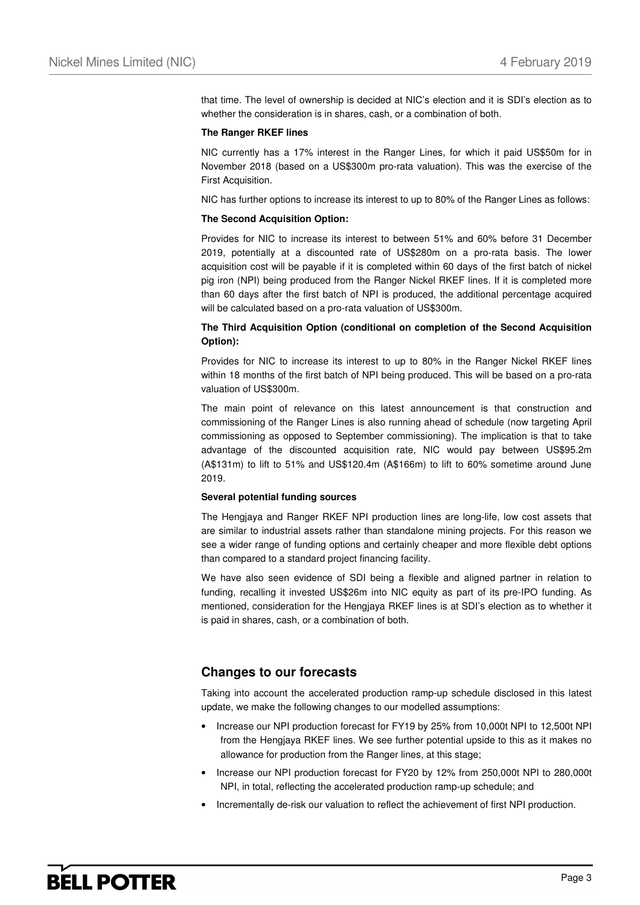that time. The level of ownership is decided at NIC's election and it is SDI's election as to whether the consideration is in shares, cash, or a combination of both.

#### **The Ranger RKEF lines**

NIC currently has a 17% interest in the Ranger Lines, for which it paid US\$50m for in November 2018 (based on a US\$300m pro-rata valuation). This was the exercise of the First Acquisition.

NIC has further options to increase its interest to up to 80% of the Ranger Lines as follows:

#### **The Second Acquisition Option:**

Provides for NIC to increase its interest to between 51% and 60% before 31 December 2019, potentially at a discounted rate of US\$280m on a pro-rata basis. The lower acquisition cost will be payable if it is completed within 60 days of the first batch of nickel pig iron (NPI) being produced from the Ranger Nickel RKEF lines. If it is completed more than 60 days after the first batch of NPI is produced, the additional percentage acquired will be calculated based on a pro-rata valuation of US\$300m.

#### **The Third Acquisition Option (conditional on completion of the Second Acquisition Option):**

Provides for NIC to increase its interest to up to 80% in the Ranger Nickel RKEF lines within 18 months of the first batch of NPI being produced. This will be based on a pro-rata valuation of US\$300m.

The main point of relevance on this latest announcement is that construction and commissioning of the Ranger Lines is also running ahead of schedule (now targeting April commissioning as opposed to September commissioning). The implication is that to take advantage of the discounted acquisition rate, NIC would pay between US\$95.2m (A\$131m) to lift to 51% and US\$120.4m (A\$166m) to lift to 60% sometime around June 2019.

#### **Several potential funding sources**

The Hengjaya and Ranger RKEF NPI production lines are long-life, low cost assets that are similar to industrial assets rather than standalone mining projects. For this reason we see a wider range of funding options and certainly cheaper and more flexible debt options than compared to a standard project financing facility.

We have also seen evidence of SDI being a flexible and aligned partner in relation to funding, recalling it invested US\$26m into NIC equity as part of its pre-IPO funding. As mentioned, consideration for the Hengjaya RKEF lines is at SDI's election as to whether it is paid in shares, cash, or a combination of both.

## **Changes to our forecasts**

Taking into account the accelerated production ramp-up schedule disclosed in this latest update, we make the following changes to our modelled assumptions:

- Increase our NPI production forecast for FY19 by 25% from 10,000t NPI to 12,500t NPI from the Hengjaya RKEF lines. We see further potential upside to this as it makes no allowance for production from the Ranger lines, at this stage;
- Increase our NPI production forecast for FY20 by 12% from 250,000t NPI to 280,000t NPI, in total, reflecting the accelerated production ramp-up schedule; and
- Incrementally de-risk our valuation to reflect the achievement of first NPI production.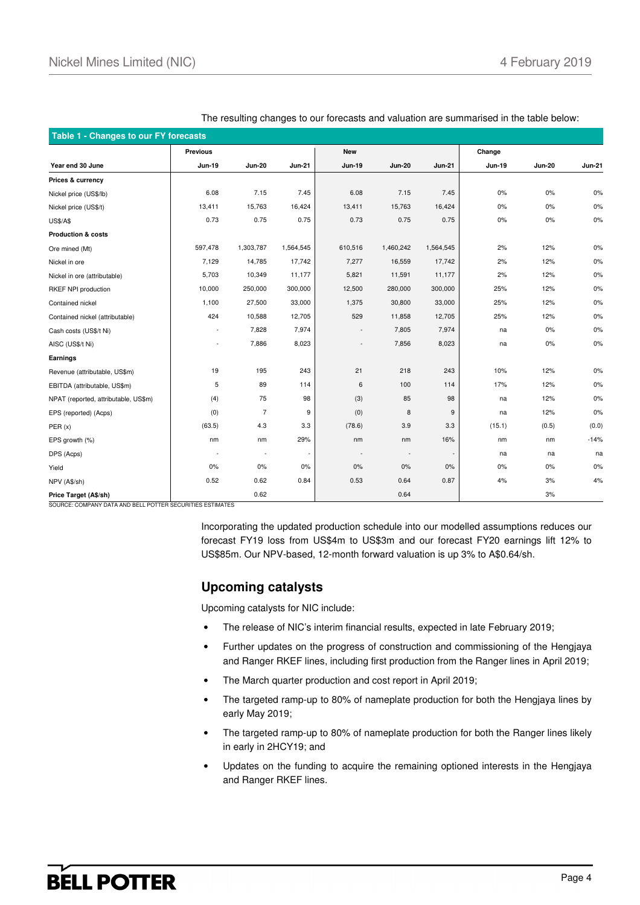| Table 1 - Changes to our FY forecasts |                          |                          |               |                          |                          |               |               |               |               |  |
|---------------------------------------|--------------------------|--------------------------|---------------|--------------------------|--------------------------|---------------|---------------|---------------|---------------|--|
|                                       | <b>Previous</b>          |                          |               | <b>New</b>               |                          |               | Change        |               |               |  |
| Year end 30 June                      | <b>Jun-19</b>            | <b>Jun-20</b>            | <b>Jun-21</b> | <b>Jun-19</b>            | <b>Jun-20</b>            | <b>Jun-21</b> | <b>Jun-19</b> | <b>Jun-20</b> | <b>Jun-21</b> |  |
| Prices & currency                     |                          |                          |               |                          |                          |               |               |               |               |  |
| Nickel price (US\$/lb)                | 6.08                     | 7.15                     | 7.45          | 6.08                     | 7.15                     | 7.45          | $0\%$         | 0%            | 0%            |  |
| Nickel price (US\$/t)                 | 13,411                   | 15,763                   | 16,424        | 13,411                   | 15,763                   | 16,424        | $0\%$         | $0\%$         | 0%            |  |
| <b>US\$/A\$</b>                       | 0.73                     | 0.75                     | 0.75          | 0.73                     | 0.75                     | 0.75          | $0\%$         | 0%            | 0%            |  |
| <b>Production &amp; costs</b>         |                          |                          |               |                          |                          |               |               |               |               |  |
| Ore mined (Mt)                        | 597,478                  | 1,303,787                | 1,564,545     | 610,516                  | 1,460,242                | 1,564,545     | 2%            | 12%           | 0%            |  |
| Nickel in ore                         | 7,129                    | 14,785                   | 17,742        | 7,277                    | 16,559                   | 17,742        | 2%            | 12%           | $0\%$         |  |
| Nickel in ore (attributable)          | 5,703                    | 10,349                   | 11,177        | 5,821                    | 11,591                   | 11,177        | 2%            | 12%           | 0%            |  |
| RKEF NPI production                   | 10,000                   | 250,000                  | 300,000       | 12,500                   | 280,000                  | 300,000       | 25%           | 12%           | 0%            |  |
| Contained nickel                      | 1,100                    | 27,500                   | 33,000        | 1,375                    | 30,800                   | 33,000        | 25%           | 12%           | 0%            |  |
| Contained nickel (attributable)       | 424                      | 10,588                   | 12,705        | 529                      | 11,858                   | 12,705        | 25%           | 12%           | 0%            |  |
| Cash costs (US\$/t Ni)                | $\sim$                   | 7,828                    | 7,974         |                          | 7,805                    | 7,974         | na            | 0%            | 0%            |  |
| AISC (US\$/t Ni)                      | $\overline{\phantom{a}}$ | 7,886                    | 8,023         |                          | 7,856                    | 8,023         | na            | $0\%$         | 0%            |  |
| Earnings                              |                          |                          |               |                          |                          |               |               |               |               |  |
| Revenue (attributable, US\$m)         | 19                       | 195                      | 243           | 21                       | 218                      | 243           | 10%           | 12%           | 0%            |  |
| EBITDA (attributable, US\$m)          | 5                        | 89                       | 114           | 6                        | 100                      | 114           | 17%           | 12%           | 0%            |  |
| NPAT (reported, attributable, US\$m)  | (4)                      | 75                       | 98            | (3)                      | 85                       | 98            | na            | 12%           | 0%            |  |
| EPS (reported) (Acps)                 | (0)                      | $\overline{7}$           | 9             | (0)                      | 8                        | 9             | na            | 12%           | 0%            |  |
| PER(x)                                | (63.5)                   | 4.3                      | 3.3           | (78.6)                   | 3.9                      | 3.3           | (15.1)        | (0.5)         | (0.0)         |  |
| EPS growth (%)                        | nm                       | nm                       | 29%           | nm                       | nm                       | 16%           | nm            | nm            | $-14%$        |  |
| DPS (Acps)                            | ÷,                       | $\overline{\phantom{a}}$ | $\sim$        | $\overline{\phantom{a}}$ | $\overline{\phantom{a}}$ |               | na            | na            | na            |  |
| Yield                                 | 0%                       | 0%                       | 0%            | 0%                       | 0%                       | 0%            | $0\%$         | $0\%$         | 0%            |  |
| NPV (A\$/sh)                          | 0.52                     | 0.62                     | 0.84          | 0.53                     | 0.64                     | 0.87          | 4%            | 3%            | 4%            |  |
| Price Target (A\$/sh)                 |                          | 0.62                     |               |                          | 0.64                     |               |               | 3%            |               |  |

The resulting changes to our forecasts and valuation are summarised in the table below:

SOURCE: COMPANY DATA AND BELL POTTER SECURITIES ESTIMATES

Incorporating the updated production schedule into our modelled assumptions reduces our forecast FY19 loss from US\$4m to US\$3m and our forecast FY20 earnings lift 12% to US\$85m. Our NPV-based, 12-month forward valuation is up 3% to A\$0.64/sh.

## **Upcoming catalysts**

Upcoming catalysts for NIC include:

- The release of NIC's interim financial results, expected in late February 2019;
- Further updates on the progress of construction and commissioning of the Hengjaya and Ranger RKEF lines, including first production from the Ranger lines in April 2019;
- The March quarter production and cost report in April 2019;
- The targeted ramp-up to 80% of nameplate production for both the Hengjaya lines by early May 2019;
- The targeted ramp-up to 80% of nameplate production for both the Ranger lines likely in early in 2HCY19; and
- Updates on the funding to acquire the remaining optioned interests in the Hengjaya and Ranger RKEF lines.

## **BELL POTTER**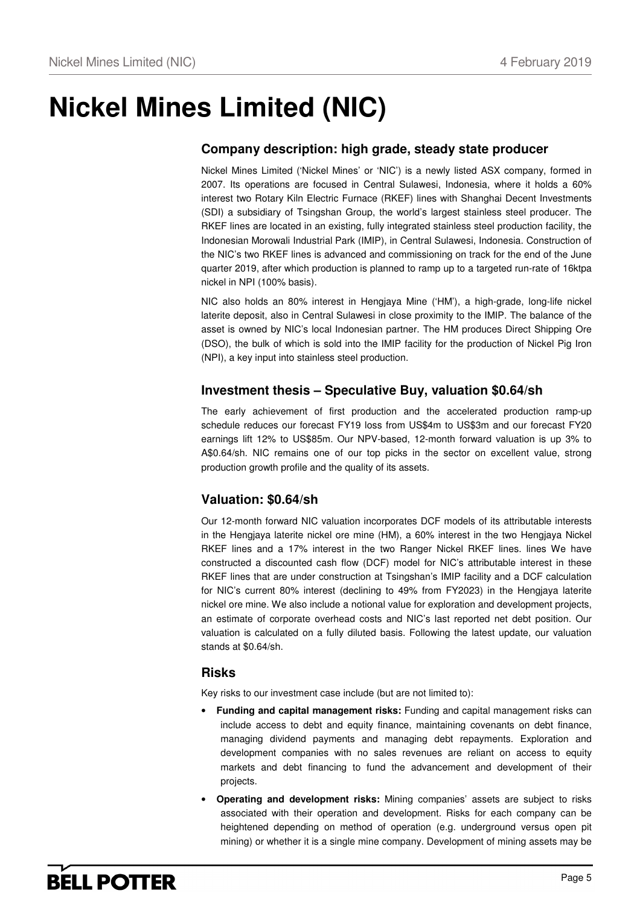# **Nickel Mines Limited (NIC)**

## **Company description: high grade, steady state producer**

Nickel Mines Limited ('Nickel Mines' or 'NIC') is a newly listed ASX company, formed in 2007. Its operations are focused in Central Sulawesi, Indonesia, where it holds a 60% interest two Rotary Kiln Electric Furnace (RKEF) lines with Shanghai Decent Investments (SDI) a subsidiary of Tsingshan Group, the world's largest stainless steel producer. The RKEF lines are located in an existing, fully integrated stainless steel production facility, the Indonesian Morowali Industrial Park (IMIP), in Central Sulawesi, Indonesia. Construction of the NIC's two RKEF lines is advanced and commissioning on track for the end of the June quarter 2019, after which production is planned to ramp up to a targeted run-rate of 16ktpa nickel in NPI (100% basis).

NIC also holds an 80% interest in Hengjaya Mine ('HM'), a high-grade, long-life nickel laterite deposit, also in Central Sulawesi in close proximity to the IMIP. The balance of the asset is owned by NIC's local Indonesian partner. The HM produces Direct Shipping Ore (DSO), the bulk of which is sold into the IMIP facility for the production of Nickel Pig Iron (NPI), a key input into stainless steel production.

## **Investment thesis – Speculative Buy, valuation \$0.64/sh**

The early achievement of first production and the accelerated production ramp-up schedule reduces our forecast FY19 loss from US\$4m to US\$3m and our forecast FY20 earnings lift 12% to US\$85m. Our NPV-based, 12-month forward valuation is up 3% to A\$0.64/sh. NIC remains one of our top picks in the sector on excellent value, strong production growth profile and the quality of its assets.

## **Valuation: \$0.64/sh**

Our 12-month forward NIC valuation incorporates DCF models of its attributable interests in the Hengjaya laterite nickel ore mine (HM), a 60% interest in the two Hengjaya Nickel RKEF lines and a 17% interest in the two Ranger Nickel RKEF lines. lines We have constructed a discounted cash flow (DCF) model for NIC's attributable interest in these RKEF lines that are under construction at Tsingshan's IMIP facility and a DCF calculation for NIC's current 80% interest (declining to 49% from FY2023) in the Hengjaya laterite nickel ore mine. We also include a notional value for exploration and development projects, an estimate of corporate overhead costs and NIC's last reported net debt position. Our valuation is calculated on a fully diluted basis. Following the latest update, our valuation stands at \$0.64/sh.

## **Risks**

Key risks to our investment case include (but are not limited to):

- **Funding and capital management risks:** Funding and capital management risks can include access to debt and equity finance, maintaining covenants on debt finance, managing dividend payments and managing debt repayments. Exploration and development companies with no sales revenues are reliant on access to equity markets and debt financing to fund the advancement and development of their projects.
- **Operating and development risks:** Mining companies' assets are subject to risks associated with their operation and development. Risks for each company can be heightened depending on method of operation (e.g. underground versus open pit mining) or whether it is a single mine company. Development of mining assets may be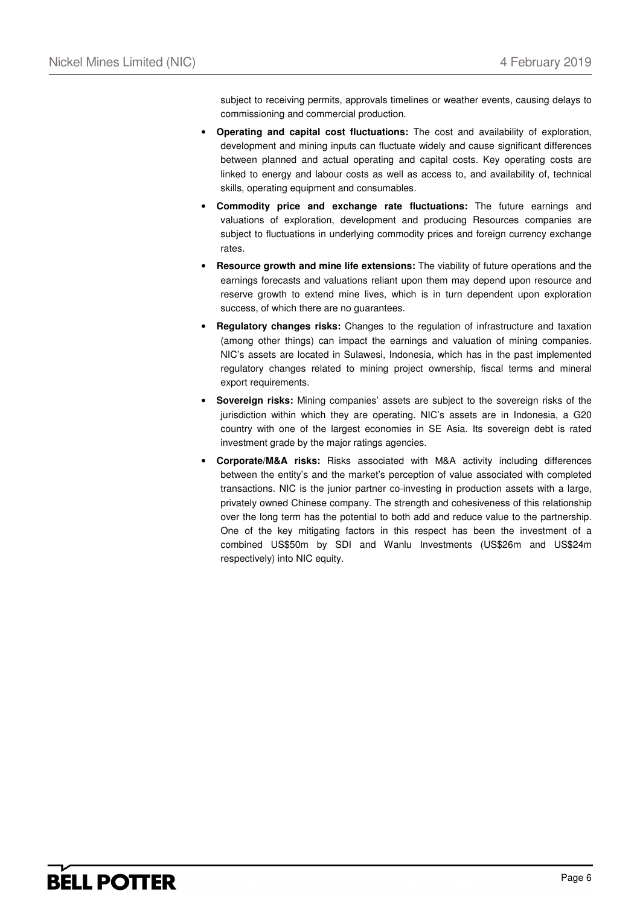subject to receiving permits, approvals timelines or weather events, causing delays to commissioning and commercial production.

- **Operating and capital cost fluctuations:** The cost and availability of exploration, development and mining inputs can fluctuate widely and cause significant differences between planned and actual operating and capital costs. Key operating costs are linked to energy and labour costs as well as access to, and availability of, technical skills, operating equipment and consumables.
- **Commodity price and exchange rate fluctuations:** The future earnings and valuations of exploration, development and producing Resources companies are subject to fluctuations in underlying commodity prices and foreign currency exchange rates.
- **Resource growth and mine life extensions:** The viability of future operations and the earnings forecasts and valuations reliant upon them may depend upon resource and reserve growth to extend mine lives, which is in turn dependent upon exploration success, of which there are no guarantees.
- **Regulatory changes risks:** Changes to the regulation of infrastructure and taxation (among other things) can impact the earnings and valuation of mining companies. NIC's assets are located in Sulawesi, Indonesia, which has in the past implemented regulatory changes related to mining project ownership, fiscal terms and mineral export requirements.
- **Sovereign risks:** Mining companies' assets are subject to the sovereign risks of the jurisdiction within which they are operating. NIC's assets are in Indonesia, a G20 country with one of the largest economies in SE Asia. Its sovereign debt is rated investment grade by the major ratings agencies.
- **Corporate/M&A risks:** Risks associated with M&A activity including differences between the entity's and the market's perception of value associated with completed transactions. NIC is the junior partner co-investing in production assets with a large, privately owned Chinese company. The strength and cohesiveness of this relationship over the long term has the potential to both add and reduce value to the partnership. One of the key mitigating factors in this respect has been the investment of a combined US\$50m by SDI and Wanlu Investments (US\$26m and US\$24m respectively) into NIC equity.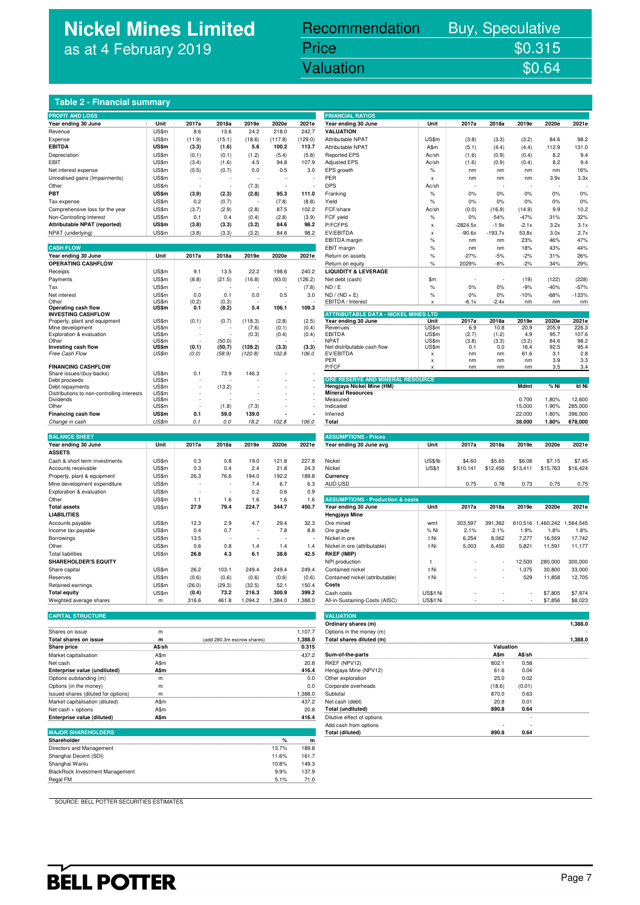## **Nickel Mines Limited** as at 4 February 2019

## Recommendation Buy, Speculative

## Nickel Mines Limited (Nickel Mines Limited (Nickel Mines Limited Control Mines Limited Control Mines Limited C Price \$0.315<br>Valuation \$0.64

### **Table 2 - Financial summary**

| <b>PROFIT AND LOSS</b>                                      |                |                |                |              |                |              | <b>FINANCIAL RATIOS</b>                            |                           |                 |                 |                 |                   |                   |
|-------------------------------------------------------------|----------------|----------------|----------------|--------------|----------------|--------------|----------------------------------------------------|---------------------------|-----------------|-----------------|-----------------|-------------------|-------------------|
| Year ending 30 June                                         | Unit           | 2017a          | 2018a          | 2019e        | 2020e          | 2021e        | Year ending 30 June                                | Unit                      | 2017a           | 2018a           | 2019e           | 2020e             | 2021e             |
| Revenue                                                     | US\$m          | 8.6            | 13.6           | 24.2         | 218.0          | 242.7        | <b>VALUATION</b>                                   |                           |                 |                 |                 |                   |                   |
| Expense                                                     | US\$m          | (11.9)         | (15.1)         | (18.6)       | (117.8)        | (129.0)      | Attributable NPAT                                  | US\$m                     | (3.8)           | (3.3)           | (3.2)           | 84.6              | 98.2              |
| <b>EBITDA</b>                                               | US\$m          | (3.3)          | (1.6)          | 5.6          | 100.2          | 113.7        | Attributable NPAT                                  | A\$m                      | (5.1)           | (4.4)           | (4.4)           | 112.9             | 131.0             |
| Depreciation                                                | US\$m          | (0.1)          | (0.1)          | (1.2)        | (5.4)          | (5.8)        | <b>Reported EPS</b>                                | Ac/sh                     | (1.6)           | (0.9)           | (0.4)           | 8.2               | 9.4               |
| EBIT                                                        | US\$m          | (3.4)          | (1.6)          | 4.5          | 94.8           | 107.9        | <b>Adjusted EPS</b>                                | Ac/sh                     | (1.6)           | (0.9)           | (0.4)           | 8.2               | 9.4               |
| Net interest expense                                        | US\$m          | (0.5)          | (0.7)          | 0.0          | 0.5            | 3.0          | EPS growth                                         | $\%$                      | nm              | nm              | nm              | nm                | 16%               |
| Unrealised gains (Impairments)                              | US\$m          |                |                |              |                |              | PER                                                | $\boldsymbol{\mathsf{x}}$ | nm              | nm              | nm              | 3.9x              | 3.3x              |
| Other                                                       | US\$m          |                |                | (7.3)        | $\overline{a}$ |              | <b>DPS</b>                                         | Ac/sh                     |                 |                 |                 |                   |                   |
| PBT                                                         | US\$m          | (3.9)          | (2.3)          | (2.8)        | 95.3           | 111.0        | Franking                                           | $\%$                      | 0%              | 0%              | 0%              | 0%                | 0%                |
| Tax expense                                                 | US\$m          | 0.2            | (0.7)          |              | (7.8)          | (8.8)        | Yield                                              | $\%$                      | 0%              | 0%              | 0%              | 0%                | 0%                |
| Comprehensive loss for the year                             | US\$m          | (3.7)          | (2.9)          | (2.8)        | 87.5           | 102.2        | FCF/share                                          | Ac/sh                     | (0.0)           | (16.9)          | (14.9)          | 9.9               | 10.2              |
| Non-Controlling Interest                                    | US\$m          | 0.1            | 0.4            | (0.4)        | (2.8)          | (3.9)        | FCF yield                                          | $\%$                      | 0%              | $-54%$          | $-47%$          | 31%               | 32%               |
| Attributable NPAT (reported)                                | US\$m          | (3.8)          | (3.3)          | (3.2)        | 84.6           | 98.2         | P/FCFPS                                            | $\mathsf{x}$              | $-2824.5x$      | $-1.9x$         | $-2.1x$         | 3.2x              | 3.1x              |
| NPAT (underlying)                                           | US\$m          | (3.8)          | (3.3)          | (3.2)        | 84.6           | 98.2         | EV/EBITDA                                          | X                         | $-90.6x$        | $-193.7x$       | 53.8x           | 3.0x              | 2.7x              |
|                                                             |                |                |                |              |                |              | <b>EBITDA</b> margin                               | $\%$                      | nm              | nm              | 23%             | 46%               | 47%               |
| <b>CASH FLOW</b>                                            |                |                |                |              |                |              | EBIT margin                                        | $\%$                      | nm              | nm              | 18%             | 43%               | 44%               |
| Year ending 30 June                                         | Unit           | 2017a          | 2018a          | 2019e        | 2020e          | 2021e        | Return on assets                                   | $\frac{9}{6}$             | $-27%$          | $-5%$           | $-2%$           | 31%               | 26%               |
| <b>OPERATING CASHFLOW</b>                                   |                |                |                |              |                |              | Return on equity                                   | $\%$                      | 2029%           | $-8%$           | $-2%$           | 34%               | 29%               |
| Receipts                                                    | US\$m          | 9.1            | 13.5           | 22.2         | 198.6          | 240.2        | <b>LIQUIDITY &amp; LEVERAGE</b>                    |                           |                 |                 |                 |                   |                   |
| Payments                                                    | US\$m          | (8.8)          | (21.5)         | (16.8)       | (93.0)         | (126.2)      | Net debt (cash)                                    | \$m                       |                 |                 | (19)            | (122)             | (228)             |
| Tax                                                         | US\$m          |                |                |              |                | (7.8)        | ND / E                                             | %                         | 0%              | 0%              | $-9%$           | $-40%$            | $-57%$            |
| Net interest<br>Other                                       | US\$m          | 0.0            | 0.1            | 0.0          | 0.5            | 3.0          | $ND / (ND + E)$                                    | $\%$                      | 0%              | 0%              | $-10%$          | $-68%$            | $-133%$           |
| Operating cash flow                                         | US\$m<br>US\$m | (0.2)<br>0.1   | (0.3)<br>(8.2) | 5.4          | 106.1          | 109.3        | EBITDA / Interest                                  | $\mathbf x$               | $-6.1x$         | $-2.4x$         | nm              | nm                | nm                |
| <b>INVESTING CASHFLOW</b>                                   |                |                |                |              |                |              | <b>ATTRIBUTABLE DATA - NICKEL MINES LTD</b>        |                           |                 |                 |                 |                   |                   |
| Property, plant and equipment                               | US\$m          | (0.1)          | (0.7)          | (118.3)      | (2.8)          | (2.5)        | Year ending 30 June                                | Unit                      | 2017a           | 2018a           | 2019e           | 2020e             | 2021e             |
| Mine development                                            | US\$m          |                |                | (7.6)        | (0.1)          | (0.4)        | Revenues                                           | US\$m                     | 6.9             | 10.8            | 20.9            | 205.9             | 226.3             |
| Exploration & evaluation<br>Other                           | US\$m<br>US\$m |                | (50.0)         | (0.3)        | (0.4)          | (0.4)        | EBITDA<br><b>NPAT</b>                              | US\$m<br><b>US\$m</b>     | (2.7)<br>(3.8)  | (1.2)<br>(3.3)  | 4.9<br>(3.2)    | 95.7<br>84.6      | 107.6<br>98.2     |
| Investing cash flow                                         | US\$m          | (0.1)          | (50.7)         | (126.2)      | (3.3)          | (3.3)        | Net distributable cash flow                        | US\$m                     | 0.1             | 0.0             | 16.4            | 92.5              | 95.4              |
| Free Cash Flow                                              | US\$m          | (0.0)          | (58.9)         | (120.8)      | 102.8          | 106.0        | EV/EBITDA                                          | $\boldsymbol{\mathsf{x}}$ | nm              | nm              | 61.6            | 3.1               | 2.8               |
|                                                             |                |                |                |              |                |              | PER                                                | x                         | nm              | nm              | nm              | 3.9               | 3.3               |
| <b>FINANCING CASHFLOW</b>                                   |                |                |                |              |                |              | P/FCF                                              |                           | nm              | nm              | nm              | 3.5               | 3.4               |
| Share issues/(buy-backs)<br>Debt proceeds                   | US\$m<br>US\$m | 0.1            | 73.9           | 146.3        |                |              | ORE RESERVE AND MINERAL RESOURCE                   |                           |                 |                 |                 |                   |                   |
| Debt repayments                                             | US\$m          | $\overline{a}$ | (13.2)         |              |                |              | Hengjaya Nickel Mine (HM)                          |                           |                 |                 | Mdmt            | % Ni              | kt Ni             |
| Distributions to non-controlling interests                  | US\$m          |                |                |              |                |              | <b>Mineral Resources</b>                           |                           |                 |                 |                 |                   |                   |
| Dividends                                                   | US\$m          |                |                |              |                |              | Measured                                           |                           |                 |                 | 0.700           | 1.80%             | 12,600            |
| Other                                                       | US\$m          |                | (1.8)          | (7.3)        |                |              | Indicated                                          |                           |                 |                 | 15.000          | 1.90%             | 285,000           |
| Financing cash flow                                         | <b>US\$m</b>   | 0.1            | 59.0           | 139.0        |                |              | Inferred                                           |                           |                 |                 | 22.000          | 1.80%             | 396,000           |
| Change in cash                                              | US\$m          | 0.1            | 0.0            | 18.2         | 102.8          | 106.0        | Total                                              |                           |                 |                 | 38.000          | 1.80%             | 678,000           |
| <b>BALANCE SHEET</b>                                        |                |                |                |              |                |              |                                                    |                           |                 |                 |                 |                   |                   |
|                                                             |                |                |                |              |                |              | <b>ASSUMPTIONS - Prices</b>                        |                           |                 |                 |                 |                   |                   |
| Year ending 30 June                                         | Unit           | 2017a          | 2018a          | 2019e        | 2020e          | 2021e        | Year ending 30 June avg                            | Unit                      | 2017a           | 2018a           | 2019e           | 2020e             | 2021e             |
| <b>ASSETS</b>                                               |                |                |                |              |                | 227.8        |                                                    |                           |                 |                 |                 |                   |                   |
| Cash & short term investments                               | US\$m          | 0.3            | 0.8            | 19.0         | 121.8          |              | Nickel                                             | US\$/lb                   | \$4.60          | \$5.65          | \$6.08          | \$7.15            | \$7.45            |
| Accounts receivable                                         | US\$m          | 0.3<br>26.3    | 0.4<br>76.6    | 2.4          | 21.8<br>192.2  | 24.3         | Nickel                                             | US\$/t                    | \$10,141        | \$12,456        | \$13,411        | \$15,763          | \$16,424          |
| Property, plant & equipment<br>Mine development expenditure | US\$m<br>US\$m |                |                | 194.0<br>7.4 | 6.7            | 189.8<br>6.3 | Currency<br>AUD:USD                                |                           | 0.75            | 0.78            | 0.73            | 0.75              | 0.75              |
|                                                             |                |                |                |              |                |              |                                                    |                           |                 |                 |                 |                   |                   |
| Exploration & evaluation<br>Other                           | US\$m<br>US\$m | 1.1            | 1.6            | 0.2<br>1.6   | 0.6<br>1.6     | 0.9<br>1.6   | <b>ASSUMPTIONS - Production &amp; costs</b>        |                           |                 |                 |                 |                   |                   |
| <b>Total assets</b>                                         | US\$m          | 27.9           | 79.4           | 224.7        | 344.7          | 450.7        | Year ending 30 June                                | Unit                      | 2017a           | 2018a           | 2019e           | 2020e             | 2021e             |
| <b>LIABILITIES</b>                                          |                |                |                |              |                |              | Hengjaya Mine                                      |                           |                 |                 |                 |                   |                   |
|                                                             | US\$m          |                |                |              | 29.4           |              |                                                    |                           |                 |                 |                 |                   |                   |
| Accounts payable<br>Income tax payable                      | US\$m          | 12.3<br>0.4    | 2.9<br>0.7     | 4.7          | 7.8            | 32.3<br>8.8  | Ore mined<br>Ore grade                             | wmt<br>% Ni               | 303,597<br>2.1% | 391,362<br>2.1% | 610,516<br>1.9% | 1,460,242<br>1.8% | 1,564,545<br>1.8% |
|                                                             |                |                |                |              |                |              |                                                    |                           |                 |                 | 7,277           | 16,559            | 17,742            |
| Borrowings<br>Other                                         | US\$m<br>US\$m | 13.5<br>0.6    | 0.8            | 1.4          | 1.4            | 1.4          | Nickel in ore                                      | t Ni<br>t Ni              | 6,254           | 8,062           |                 |                   | 11.177            |
| <b>Total liabilities</b>                                    | US\$m          | 26.8           | 4.3            | 6.1          | 38.6           | 42.5         | Nickel in ore (attributable)<br><b>RKEF (IMIP)</b> |                           | 5,003           | 6,450           | 5,821           | 11,591            |                   |
| <b>SHAREHOLDER'S EQUITY</b>                                 |                |                |                |              |                |              | NPI production                                     | $\mathsf{t}$              |                 |                 | 12,500          | 280,000           | 300,000           |
|                                                             | US\$m          | 26.2           | 103.1          | 249.4        | 249.4          | 249.4        | Contained nickel                                   | t Ni                      |                 |                 | 1,375           | 30,800            | 33,000            |
|                                                             |                |                |                |              | (0.6)          | (0.6)        | Contained nickel (attributable)                    | t Ni                      |                 |                 | 529             | 11,858            | 12,705            |
| Share capital                                               |                |                |                |              |                |              |                                                    |                           |                 |                 |                 |                   |                   |
| Reserves                                                    | US\$m          | (0.6)          | (0.6)          | (0.6)        |                |              |                                                    |                           |                 |                 |                 |                   |                   |
| Retained earnings                                           | US\$m          | (26.0)         | (29.3)         | (32.5)       | 52.1           | 150.4        | Costs                                              |                           |                 |                 |                 |                   |                   |
| <b>Total equity</b>                                         | US\$m          | (0.4)          | 73.2           | 216.3        | 300.9          | 399.2        | Cash costs                                         | US\$/t Ni                 |                 |                 |                 | \$7,805           | \$7,974           |
| Weighted average shares                                     | ${\sf m}$      | 316.6          | 461.8          | 1,094.2      | 1,384.0        | 1,388.0      | All-in-Sustaining-Costs (AISC)                     | US\$/t Ni                 |                 |                 |                 | \$7,856           | \$8,023           |
| <b>CAPITAL STRUCTURE</b>                                    |                |                |                |              |                |              | <b>VALUATION</b>                                   |                           |                 |                 |                 |                   |                   |

| <b>CAPITAL STRUCTURE</b>            |        |                            |         | <b>VALUATION</b>           |           |        |         |
|-------------------------------------|--------|----------------------------|---------|----------------------------|-----------|--------|---------|
|                                     |        |                            |         | Ordinary shares (m)        |           |        | 1.388.0 |
| Shares on issue                     | m      |                            | 1,107.7 | Options in the money (m)   |           |        |         |
| Total shares on issue               | m      | (add 280.3m escrow shares) | 1,388.0 | Total shares diluted (m)   |           |        | .388.0  |
| Share price                         | A\$/sh |                            | 0.315   |                            | Valuation |        |         |
| Market capitalisation               | A\$m   |                            | 437.2   | Sum-of-the-parts           | A\$m      | A\$/sh |         |
| Net cash                            | A\$m   |                            | 20.8    | RKEF (NPV12)               | 802.1     | 0.58   |         |
| Enterprise value (undiluted)        | A\$m   |                            | 416.4   | Hengjaya Mine (NPV12)      | 61.6      | 0.04   |         |
| Options outstanding (m)             | m      |                            | 0.0     | Other exploration          | 25.0      | 0.02   |         |
| Options (in the money)              | m      |                            | 0.0     | Corporate overheads        | (18.6)    | (0.01) |         |
| Issued shares (diluted for options) |        |                            | .388.0  | Subtotal                   | 870.0     | 0.63   |         |
| Market capitalisation (diluted)     | A\$m   |                            | 437.2   | Net cash (debt)            | 20.8      | 0.01   |         |
| Net cash + options                  | A\$m   |                            | 20.8    | <b>Total (undiluted)</b>   | 890.8     | 0.64   |         |
| Enterprise value (diluted)          | A\$m   |                            | 416.4   | Dilutive effect of options |           |        |         |
|                                     |        |                            |         | Add cash from options      |           |        |         |

| $\%$  | m     |
|-------|-------|
| 13.7% | 189.8 |
| 11.6% | 161.7 |
| 10.8% | 149.3 |
| 9.9%  | 137.9 |
| 5.1%  | 71.0  |
|       |       |

| <b>FINANCIAL RATIOS</b>                                            |               |                  |                   |                  |                                     |                   |
|--------------------------------------------------------------------|---------------|------------------|-------------------|------------------|-------------------------------------|-------------------|
| Year ending 30 June                                                | Unit          | 2017a            | 2018a             | 2019e            | 2020e                               | 2021e             |
| <b>VALUATION</b><br>Attributable NPAT                              |               |                  |                   |                  | 84.6                                | 98.2              |
| Attributable NPAT                                                  | US\$m<br>A\$m | (3.8)<br>(5.1)   | (3.3)<br>(4.4)    | (3.2)<br>(4.4)   | 112.9                               | 131.0             |
| <b>Reported EPS</b>                                                | Ac/sh         | (1.6)            | (0.9)             | (0.4)            | 8.2                                 | 9.4               |
| <b>Adjusted EPS</b>                                                | Ac/sh         | (1.6)            | (0.9)             | (0.4)            | 8.2                                 | 9.4               |
| EPS growth                                                         | $\%$          | nm               | nm                | nm               | nm                                  | 16%               |
| PER                                                                | X             | nm               | nm                | nm               | 3.9x                                | 3.3x              |
| <b>DPS</b>                                                         | Ac/sh         |                  |                   |                  |                                     |                   |
| Franking                                                           | %             | 0%               | 0%                | 0%               | 0%                                  | 0%                |
| Yield                                                              | %             | 0%               | 0%                | 0%               | 0%                                  | 0%                |
| FCF/share                                                          | Ac/sh         | (0.0)            | (16.9)            | (14.9)<br>$-47%$ | 9.9<br>31%                          | 10.2              |
| FCF yield<br>P/FCFPS                                               | %<br>X        | 0%<br>$-2824.5x$ | $-54%$<br>$-1.9x$ | $-2.1x$          | 3.2x                                | 32%<br>3.1x       |
| <b>FV/FBITDA</b>                                                   | X             | $-90.6x$         | $-193.7x$         | 53.8x            | 3.0x                                | 2.7x              |
| EBITDA margin                                                      | %             | nm               | nm                | 23%              | 46%                                 | 47%               |
| EBIT margin                                                        | %             | nm               | nm                | 18%              | 43%                                 | 44%               |
| Return on assets                                                   | %             | $-27%$           | $-5%$             | $-2%$            | 31%                                 | 26%               |
| Return on equity                                                   | %             | 2029%            | -8%               | $-2%$            | 34%                                 | 29%               |
| <b>LIQUIDITY &amp; LEVERAGE</b>                                    |               |                  |                   |                  |                                     |                   |
| Net debt (cash)                                                    | \$m           |                  |                   | (19)             | (122)                               | (228)             |
| ND / E                                                             | %             | 0%               | 0%                | $-9%$            | $-40%$                              | $-57%$            |
| $ND / (ND + E)$<br>EBITDA / Interest                               | %<br>x        | 0%<br>$-6.1x$    | 0%<br>$-2.4x$     | $-10%$<br>nm     | $-68%$<br>nm                        | $-133%$<br>nm     |
|                                                                    |               |                  |                   |                  |                                     |                   |
| <b>ATTRIBUTABLE DATA - NICKEL MINES LTD</b><br>Year ending 30 June | Unit          | 2017a            | 2018a             | 2019e            | 2020e                               | 2021e             |
| Revenues                                                           | US\$m         | 6.9              | 10.8              | 20.9             | 205.9                               | 226.3             |
| <b>EBITDA</b>                                                      | US\$m         | (2.7)            | (1.2)             | 4.9              | 95.7                                | 107.6             |
| <b>NPAT</b>                                                        | US\$m         | (3.8)            | (3.3)             | (3.2)<br>16.4    | 84.6                                | 98.2              |
| Net distributable cash flow<br>EV/EBITDA                           | US\$m<br>X    | 0.1<br>nm        | 0.0<br>nm         | 61.6             | 92.5<br>3.1                         | 95.4<br>2.8       |
| PFR                                                                | X             | nm               | nm                | nm               | 3.9                                 | 3.3               |
| P/FCF                                                              | ×             | nm               | nm                | nm               | 3.5                                 | 3.4               |
| ORE RESERVE AND MINERAL RESOURCE                                   |               |                  |                   |                  |                                     |                   |
| Hengjaya Nickel Mine (HM)                                          |               |                  |                   | Mdmt             | % Ni                                | kt Ni             |
| <b>Mineral Resources</b>                                           |               |                  |                   |                  |                                     |                   |
| Measured<br>Indicated                                              |               |                  |                   | 0.700<br>15.000  | 1.80%<br>1.90%                      | 12,600<br>285,000 |
| Inferred                                                           |               |                  |                   | 22.000           | 1.80%                               | 396,000           |
| Total                                                              |               |                  |                   | 38.000           | 1.80%                               | 678,000           |
|                                                                    |               |                  |                   |                  |                                     |                   |
| <b>ASSUMPTIONS - Prices</b>                                        |               |                  |                   |                  |                                     |                   |
|                                                                    |               |                  |                   |                  |                                     |                   |
| Year ending 30 June avg                                            | Unit          | 2017a            | 2018a             | 2019e            | 2020e                               | 2021e             |
|                                                                    |               |                  |                   |                  |                                     |                   |
| Nickel                                                             | US\$/lb       | \$4.60           | \$5.65            | \$6.08           | \$7.15                              | \$7.45            |
| Nickel                                                             | <b>US\$/t</b> | \$10,141         | \$12,456          | \$13,411         | \$15,763                            | \$16,424          |
| Currency<br>AUD:USD                                                |               | 0.75             | 0.78              | 0.73             | 0.75                                | 0.75              |
|                                                                    |               |                  |                   |                  |                                     |                   |
| <b>ASSUMPTIONS - Production &amp; costs</b>                        |               |                  |                   |                  |                                     |                   |
| Year ending 30 June                                                | Unit          | 2017a            | 2018a             | 2019e            | 2020e                               | 2021e             |
| Hengjaya Mine                                                      |               |                  |                   |                  |                                     |                   |
| Ore mined<br>Ore grade                                             | wmt           | 303,597          | 391,362           |                  | 610,516 1,460,242 1,564,545<br>1.8% |                   |
| Nickel in ore                                                      | % Ni<br>t Ni  | 2.1%<br>6,254    | 2.1%<br>8,062     | 1.9%<br>7.277    | 16,559                              | 1.8%<br>17,742    |
| Nickel in ore (attributable)                                       | t Ni          | 5,003            | 6,450             | 5,821            | 11,591                              | 11,177            |
| RKEF (IMIP)                                                        |               |                  |                   |                  |                                     |                   |
| NPI production                                                     | t             |                  |                   | 12,500           | 280,000                             | 300,000           |
| Contained nickel                                                   | t Ni          |                  |                   | 1.375            | 30,800                              | 33,000            |
| Contained nickel (attributable)                                    | t Ni          |                  |                   | 529              | 11.858                              | 12,705            |
| Costs                                                              |               |                  |                   |                  |                                     |                   |
| Cash costs                                                         | US\$/t Ni     |                  |                   |                  | \$7,805                             | \$7,974           |
| All-in-Sustaining-Costs (AISC)                                     | US\$/t Ni     |                  |                   |                  | \$7,856                             | \$8,023           |
| <b>VALUATION</b>                                                   |               |                  |                   |                  |                                     |                   |
| Ordinary shares (m)                                                |               |                  |                   |                  |                                     | 1,388.0           |
| Options in the money (m)                                           |               |                  |                   |                  |                                     |                   |
| Total shares diluted (m)                                           |               |                  |                   |                  |                                     | 1,388.0           |
|                                                                    |               |                  | Valuation         |                  |                                     |                   |
| Sum-of-the-parts                                                   |               |                  | A\$m              | A\$/sh           |                                     |                   |
| RKEF (NPV12)                                                       |               |                  | 802.1             | 0.58             |                                     |                   |
| Hengjaya Mine (NPV12)<br>Other exploration                         |               |                  | 61.6<br>25.0      | 0.04<br>0.02     |                                     |                   |
| Corporate overheads                                                |               |                  | (18.6)            | (0.01)           |                                     |                   |
| Subtotal                                                           |               |                  | 870.0             | 0.63             |                                     |                   |
| Net cash (debt)                                                    |               |                  | 20.8              | 0.01             |                                     |                   |
| <b>Total (undiluted)</b>                                           |               |                  | 890.8             | 0.64             |                                     |                   |
| Dilutive effect of options                                         |               |                  |                   |                  |                                     |                   |
| Add cash from options<br><b>Total (diluted)</b>                    |               |                  | 890.8             | 0.64             |                                     |                   |

SOURCE: BELL POTTER SECURITIES ESTIMATES